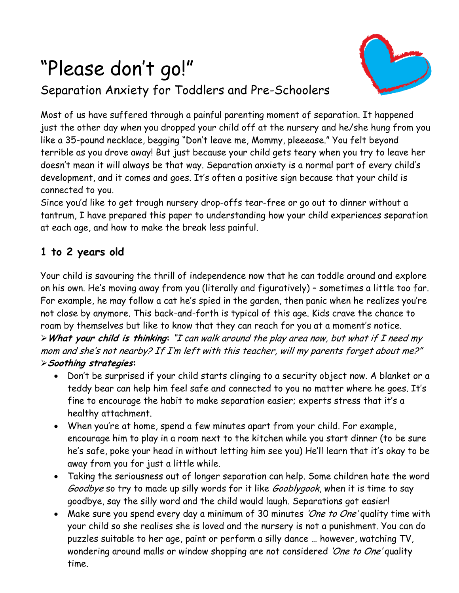# "Please don't go!"

# Separation Anxiety for Toddlers and Pre-Schoolers



Most of us have suffered through a painful parenting moment of separation. It happened just the other day when you dropped your child off at the nursery and he/she hung from you like a 35-pound necklace, begging "Don't leave me, Mommy, pleeease." You felt beyond terrible as you drove away! But just because your child gets teary when you try to leave her doesn't mean it will always be that way. Separation anxiety is a normal part of every child's development, and it comes and goes. It's often a positive sign because that your child is connected to you.

Since you'd like to get trough nursery drop-offs tear-free or go out to dinner without a tantrum, I have prepared this paper to understanding how your child experiences separation at each age, and how to make the break less painful.

### **1 to 2 years old**

Your child is savouring the thrill of independence now that he can toddle around and explore on his own. He's moving away from you (literally and figuratively) – sometimes a little too far. For example, he may follow a cat he's spied in the garden, then panic when he realizes you're not close by anymore. This back-and-forth is typical of this age. Kids crave the chance to roam by themselves but like to know that they can reach for you at a moment's notice. **What your child is thinking:** "I can walk around the play area now, but what if I need my mom and she's not nearby? If I'm left with this teacher, will my parents forget about me?"

#### **Soothing strategies:**

- Don't be surprised if your child starts clinging to a security object now. A blanket or a teddy bear can help him feel safe and connected to you no matter where he goes. It's fine to encourage the habit to make separation easier; experts stress that it's a healthy attachment.
- When you're at home, spend a few minutes apart from your child. For example, encourage him to play in a room next to the kitchen while you start dinner (to be sure he's safe, poke your head in without letting him see you) He'll learn that it's okay to be away from you for just a little while.
- Taking the seriousness out of longer separation can help. Some children hate the word Goodbye so try to made up silly words for it like Gooblygook, when it is time to say goodbye, say the silly word and the child would laugh. Separations got easier!
- Make sure you spend every day a minimum of 30 minutes 'One to One' quality time with your child so she realises she is loved and the nursery is not a punishment. You can do puzzles suitable to her age, paint or perform a silly dance … however, watching TV, wondering around malls or window shopping are not considered 'One to One' quality time.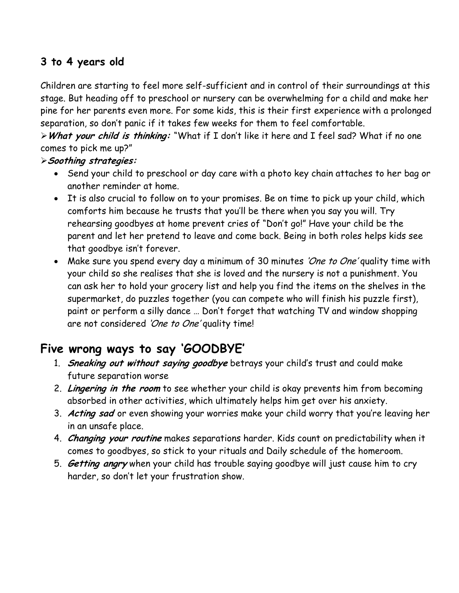## **3 to 4 years old**

Children are starting to feel more self-sufficient and in control of their surroundings at this stage. But heading off to preschool or nursery can be overwhelming for a child and make her pine for her parents even more. For some kids, this is their first experience with a prolonged separation, so don't panic if it takes few weeks for them to feel comfortable.

**What your child is thinking:** "What if I don't like it here and I feel sad? What if no one comes to pick me up?"

#### **Soothing strategies:**

- Send your child to preschool or day care with a photo key chain attaches to her bag or another reminder at home.
- It is also crucial to follow on to your promises. Be on time to pick up your child, which comforts him because he trusts that you'll be there when you say you will. Try rehearsing goodbyes at home prevent cries of "Don't go!" Have your child be the parent and let her pretend to leave and come back. Being in both roles helps kids see that goodbye isn't forever.
- Make sure you spend every day a minimum of 30 minutes 'One to One' quality time with your child so she realises that she is loved and the nursery is not a punishment. You can ask her to hold your grocery list and help you find the items on the shelves in the supermarket, do puzzles together (you can compete who will finish his puzzle first), paint or perform a silly dance … Don't forget that watching TV and window shopping are not considered 'One to One' quality time!

## **Five wrong ways to say 'GOODBYE'**

- 1. **Sneaking out without saying goodbye** betrays your child's trust and could make future separation worse
- 2. **Lingering in the room** to see whether your child is okay prevents him from becoming absorbed in other activities, which ultimately helps him get over his anxiety.
- 3. **Acting sad** or even showing your worries make your child worry that you're leaving her in an unsafe place.
- 4. **Changing your routine** makes separations harder. Kids count on predictability when it comes to goodbyes, so stick to your rituals and Daily schedule of the homeroom.
- 5. **Getting angry** when your child has trouble saying goodbye will just cause him to cry harder, so don't let your frustration show.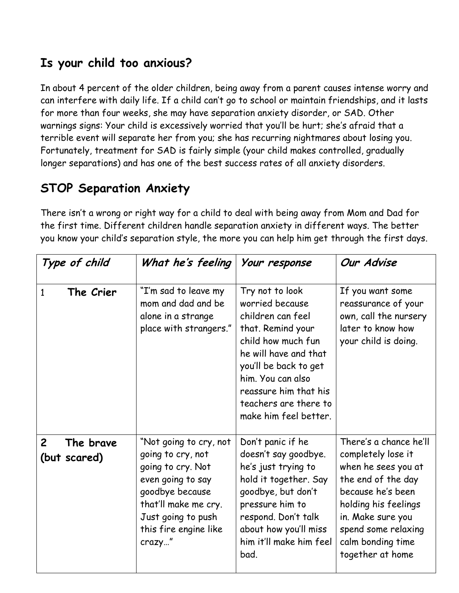## **Is your child too anxious?**

In about 4 percent of the older children, being away from a parent causes intense worry and can interfere with daily life. If a child can't go to school or maintain friendships, and it lasts for more than four weeks, she may have separation anxiety disorder, or SAD. Other warnings signs: Your child is excessively worried that you'll be hurt; she's afraid that a terrible event will separate her from you; she has recurring nightmares about losing you. Fortunately, treatment for SAD is fairly simple (your child makes controlled, gradually longer separations) and has one of the best success rates of all anxiety disorders.

# **STOP Separation Anxiety**

There isn't a wrong or right way for a child to deal with being away from Mom and Dad for the first time. Different children handle separation anxiety in different ways. The better you know your child's separation style, the more you can help him get through the first days.

| Type of child                               | What he's feeling                                                                                                                                                                         | Your response                                                                                                                                                                                                                                        | Our Advise                                                                                                                                                                                                                  |
|---------------------------------------------|-------------------------------------------------------------------------------------------------------------------------------------------------------------------------------------------|------------------------------------------------------------------------------------------------------------------------------------------------------------------------------------------------------------------------------------------------------|-----------------------------------------------------------------------------------------------------------------------------------------------------------------------------------------------------------------------------|
| The Crier<br>$\mathbf{1}$                   | "I'm sad to leave my<br>mom and dad and be<br>alone in a strange<br>place with strangers."                                                                                                | Try not to look<br>worried because<br>children can feel<br>that. Remind your<br>child how much fun<br>he will have and that<br>you'll be back to get<br>him. You can also<br>reassure him that his<br>teachers are there to<br>make him feel better. | If you want some<br>reassurance of your<br>own, call the nursery<br>later to know how<br>your child is doing.                                                                                                               |
| $\overline{2}$<br>The brave<br>(but scared) | "Not going to cry, not<br>going to cry, not<br>going to cry. Not<br>even going to say<br>goodbye because<br>that'll make me cry.<br>Just going to push<br>this fire engine like<br>crazy" | Don't panic if he<br>doesn't say goodbye.<br>he's just trying to<br>hold it together. Say<br>goodbye, but don't<br>pressure him to<br>respond. Don't talk<br>about how you'll miss<br>him it'll make him feel<br>bad.                                | There's a chance he'll<br>completely lose it<br>when he sees you at<br>the end of the day<br>because he's been<br>holding his feelings<br>in. Make sure you<br>spend some relaxing<br>calm bonding time<br>together at home |